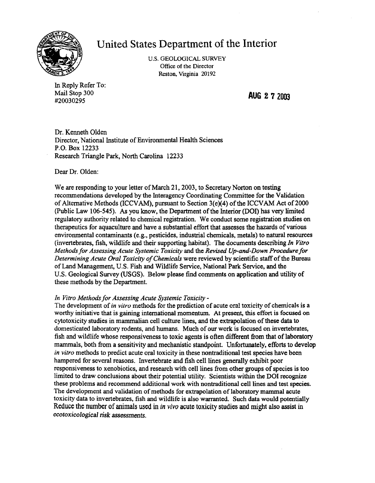

## United States Department of the Interior

U.S. GEOLOGICAL SURVEY Office of the Director Reston, Virginia 20192

In Reply Refer To: Mail Stop 300 **AUG 2 7** <sup>2003</sup> #20030295

Dr. Kenneth Olden Director, National Institute of Environmental Health Sciences P.O. Box 12233 Research Triangle Park, North Carolina 12233

Dear Dr. Olden:

We are responding to your letter of March 21, 2003, to Secretary Norton on testing recommendations developed by the Interagency Coordinating Committee for the Validation of Alternative Methods (ICCVAM), pursuant to Section  $3(e)(4)$  of the ICCVAM Act of 2000 (Public Law 106-545). As you know, the Department of the Interior (DOl) has very limited regulatory authority related to chemical registration. We conduct some registration studies on therapeutics for aquaculture and have a substantial effort that assesses the hazards ofvarious environmental contaminants (e.g., pesticides, industrial chemicals, metals) to natural resources (invertebrates, fish, wildlife and their supporting habitat). The documents describing *In Vitro Methods for Assessing Acute Systemic Toxicity* and the *Revised Up..and-Down Procedure for*  Determining Acute Oral Toxicity of Chemicals were reviewed by scientific staff of the Bureau ofLand Management, U.S. Fish and Wildlife Service, National Park Service, and the U.S. Geological Survey (USGS). Below please find comments on application and utility of these methods by the Department.

## *In Vitro Methods for Assessing Acute Systemic Toxicity*

The development of *in vitro* methods for the prediction of acute oral toxicity of chemicals is a worthy initiative that is gaining international momentum. At present, this effort is focused on cytotoxicity studies in mammalian cell culture lines, and the extrapolation ofthese data to domesticated laboratory rodents, and humans. Much of our work is focused on invertebrates, fish and wildlife whose responsiveness to toxic agents is often different from that of laboratory mammals, both from a sensitivity and mechanistic standpoint. Unfortunately, efforts to develop *in vitro* methods to predict acute oral toxicity in these nontraditional test species have been hampered for several reasons. Invertebrate and fish cell lines generally exhibit poor responsiveness to xenobiotics, and research with cell lines from other groups of species is too limited to draw conclusions about their potential utility. Scientists within the DOl recognize these problems and recommend additional work with nontraditional cell lines and test species. The development and validation of methods for extrapolation of laboratory mammal acute toxicity data to invertebrates, fish and wildlife is also warranted. Such data would potentially Reduce the number of animals used in *in vivo* acute toxicity studies and might also assist in *ecotoxicological risk* assessments.